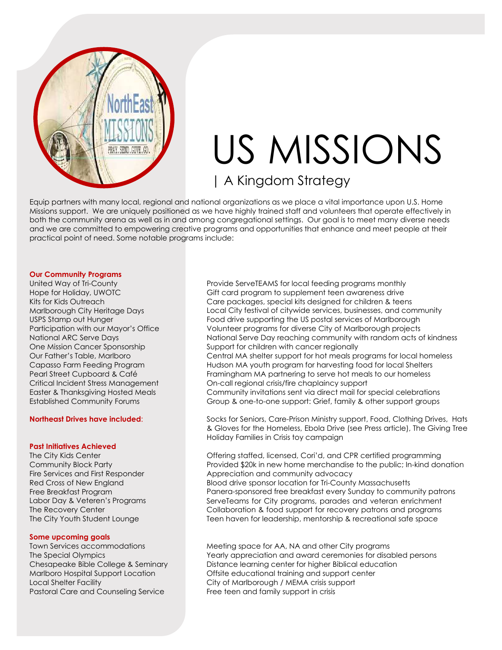

# US MISSIONS | A Kingdom Strategy

Equip partners with many local, regional and national organizations as we place a vital importance upon U.S. Home Missions support. We are uniquely positioned as we have highly trained staff and volunteers that operate effectively in both the community arena as well as in and among congregational settings. Our goal is to meet many diverse needs and we are committed to empowering creative programs and opportunities that enhance and meet people at their practical point of need. Some notable programs include:

#### **Our Community Programs**

United Way of Tri-County Hope for Holiday, UWOTC Kits for Kids Outreach Marlborough City Heritage Days USPS Stamp out Hunger Participation with our Mayor's Office National ARC Serve Days One Mission Cancer Sponsorship Our Father's Table, Marlboro Capasso Farm Feeding Program Pearl Street Cupboard & Café Critical Incident Stress Management Easter & Thanksgiving Hosted Meals Established Community Forums

### **Northeast Drives have included**:

### **Past Initiatives Achieved**

The City Kids Center Community Block Party Fire Services and First Responder Red Cross of New England Free Breakfast Program Labor Day & Veteren's Programs The Recovery Center The City Youth Student Lounge

### **Some upcoming goals**

Town Services accommodations The Special Olympics Chesapeake Bible College & Seminary Marlboro Hospital Support Location Local Shelter Facility Pastoral Care and Counseling Service

Provide ServeTEAMS for local feeding programs monthly Gift card program to supplement teen awareness drive Care packages, special kits designed for children & teens Local City festival of citywide services, businesses, and community Food drive supporting the US postal services of Marlborough Volunteer programs for diverse City of Marlborough projects National Serve Day reaching community with random acts of kindness Support for children with cancer regionally Central MA shelter support for hot meals programs for local homeless Hudson MA youth program for harvesting food for local Shelters Framingham MA partnering to serve hot meals to our homeless On-call regional crisis/fire chaplaincy support Community invitations sent via direct mail for special celebrations Group & one-to-one support: Grief, family & other support groups

Socks for Seniors, Care-Prison Ministry support, Food, Clothing Drives, Hats & Gloves for the Homeless, Ebola Drive (see Press article), The Giving Tree Holiday Families in Crisis toy campaign

Offering staffed, licensed, Cori'd, and CPR certified programming Provided \$20k in new home merchandise to the public; In-kind donation Appreciation and community advocacy Blood drive sponsor location for Tri-County Massachusetts Panera-sponsored free breakfast every Sunday to community patrons ServeTeams for City programs, parades and veteran enrichment Collaboration & food support for recovery patrons and programs Teen haven for leadership, mentorship & recreational safe space

Meeting space for AA, NA and other City programs Yearly appreciation and award ceremonies for disabled persons Distance learning center for higher Biblical education Offsite educational training and support center City of Marlborough / MEMA crisis support Free teen and family support in crisis